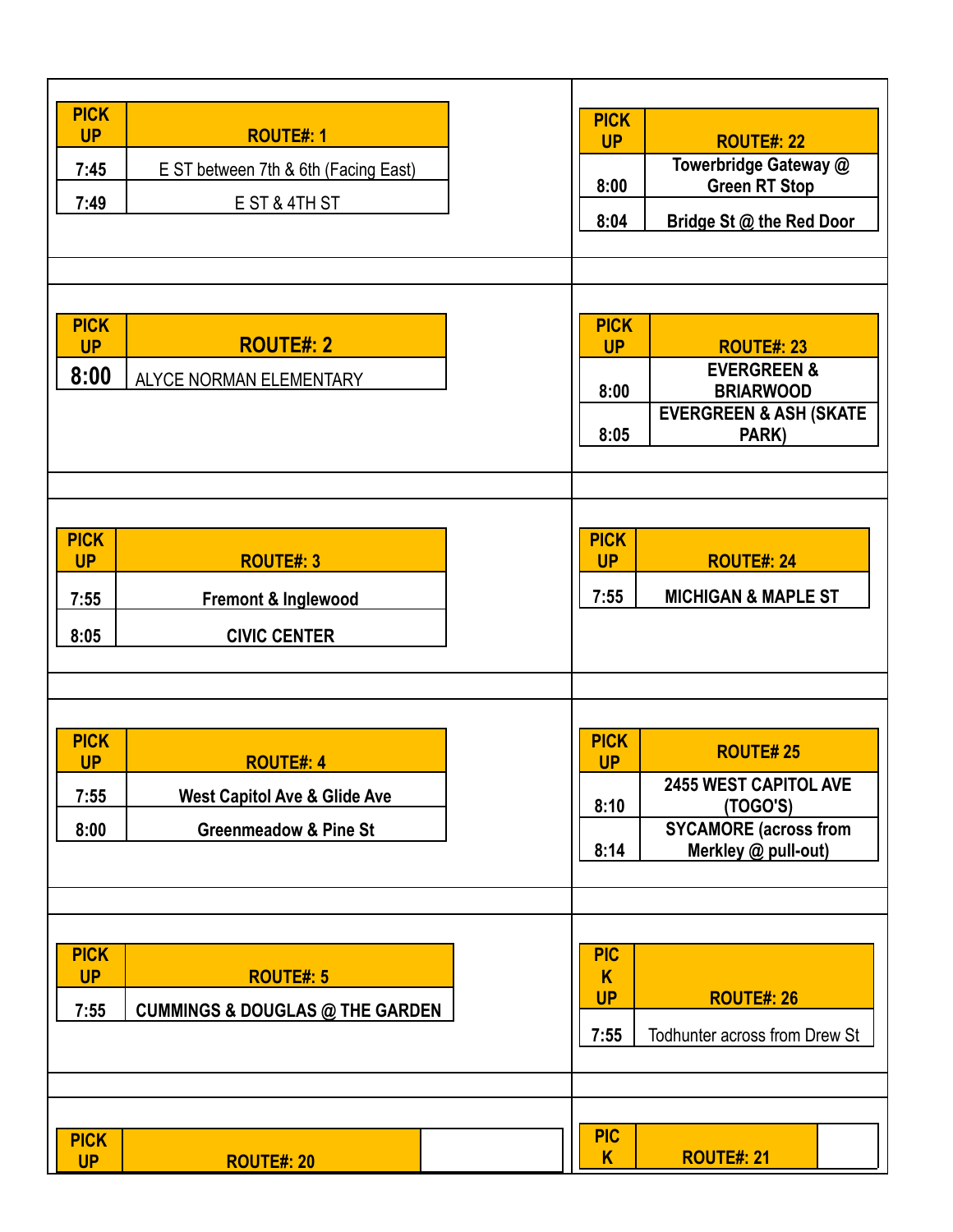| <b>PICK</b><br><b>UP</b><br><b>ROUTE#: 1</b><br>7:45<br>E ST between 7th & 6th (Facing East)<br>7:49<br>E ST & 4TH ST                       | <b>PICK</b><br><b>UP</b><br><b>ROUTE#: 22</b><br>Towerbridge Gateway @<br><b>Green RT Stop</b><br>8:00<br>8:04<br>Bridge St @ the Red Door                     |
|---------------------------------------------------------------------------------------------------------------------------------------------|----------------------------------------------------------------------------------------------------------------------------------------------------------------|
| <b>PICK</b><br><b>ROUTE#: 2</b><br><b>UP</b><br>8:00<br>ALYCE NORMAN ELEMENTARY                                                             | <b>PICK</b><br><b>UP</b><br><b>ROUTE#: 23</b><br><b>EVERGREEN &amp;</b><br><b>BRIARWOOD</b><br>8:00<br><b>EVERGREEN &amp; ASH (SKATE</b><br>8:05<br>PARK)      |
| <b>PICK</b><br><b>UP</b><br><b>ROUTE#: 3</b><br>7:55<br>Fremont & Inglewood<br><b>CIVIC CENTER</b><br>8:05                                  | <b>PICK</b><br><b>UP</b><br><b>ROUTE#: 24</b><br>7:55<br><b>MICHIGAN &amp; MAPLE ST</b>                                                                        |
| <b>PICK</b><br><b>UP</b><br><b>ROUTE#: 4</b><br>7:55<br><b>West Capitol Ave &amp; Glide Ave</b><br>8:00<br><b>Greenmeadow &amp; Pine St</b> | <b>PICK</b><br><b>ROUTE#25</b><br><b>UP</b><br><b>2455 WEST CAPITOL AVE</b><br>8:10<br>(TOGO'S)<br><b>SYCAMORE (across from</b><br>8:14<br>Merkley @ pull-out) |
| <b>PICK</b><br><b>UP</b><br><b>ROUTE#: 5</b><br>7:55<br><b>CUMMINGS &amp; DOUGLAS @ THE GARDEN</b>                                          | <b>PIC</b><br>K<br><b>UP</b><br><b>ROUTE#: 26</b><br>7:55<br>Todhunter across from Drew St                                                                     |
| <b>PICK</b><br><b>UP</b><br><b>ROUTE#: 20</b>                                                                                               | <b>PIC</b><br>K<br><b>ROUTE#: 21</b>                                                                                                                           |